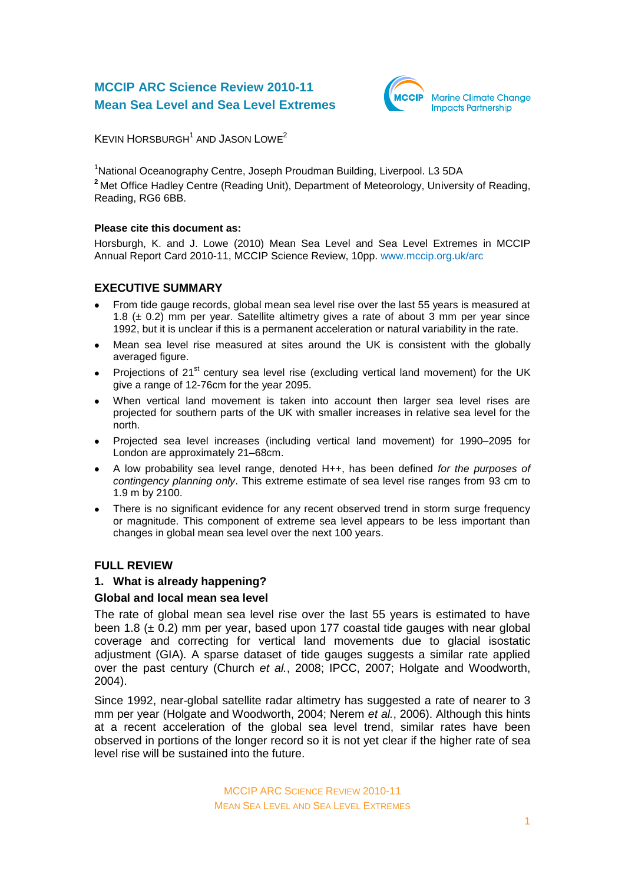# **MCCIP ARC Science Review 2010-11 Mean Sea Level and Sea Level Extremes**



 $K$ EVIN HORSBURGH $^1$  AND JASON LOWE<sup>2</sup>

<sup>1</sup>National Oceanography Centre, Joseph Proudman Building, Liverpool. L3 5DA <sup>2</sup> Met Office Hadlev Centre (Reading Unit), Department of Meteorology, University of Reading, Reading, RG6 6BB.

### **Please cite this document as:**

Horsburgh, K. and J. Lowe (2010) Mean Sea Level and Sea Level Extremes in MCCIP Annual Report Card 2010-11, MCCIP Science Review, 10pp. [www.mccip.org.uk/arc](http://www.mccip.org.uk/arc)

# **EXECUTIVE SUMMARY**

- From tide gauge records, global mean sea level rise over the last 55 years is measured at 1.8 ( $\pm$  0.2) mm per year. Satellite altimetry gives a rate of about 3 mm per year since 1992, but it is unclear if this is a permanent acceleration or natural variability in the rate.
- Mean sea level rise measured at sites around the UK is consistent with the globally  $\bullet$ averaged figure.
- Projections of  $21<sup>st</sup>$  century sea level rise (excluding vertical land movement) for the UK  $\bullet$ give a range of 12-76cm for the year 2095.
- When vertical land movement is taken into account then larger sea level rises are projected for southern parts of the UK with smaller increases in relative sea level for the north.
- $\bullet$ Projected sea level increases (including vertical land movement) for 1990–2095 for London are approximately 21–68cm.
- A low probability sea level range, denoted H++, has been defined *for the purposes of*   $\bullet$ *contingency planning only*. This extreme estimate of sea level rise ranges from 93 cm to 1.9 m by 2100.
- There is no significant evidence for any recent observed trend in storm surge frequency or magnitude. This component of extreme sea level appears to be less important than changes in global mean sea level over the next 100 years.

### **FULL REVIEW**

### **1. What is already happening?**

### **Global and local mean sea level**

The rate of global mean sea level rise over the last 55 years is estimated to have been 1.8 ( $\pm$  0.2) mm per year, based upon 177 coastal tide gauges with near global coverage and correcting for vertical land movements due to glacial isostatic adjustment (GIA). A sparse dataset of tide gauges suggests a similar rate applied over the past century (Church *et al.*, 2008; IPCC, 2007; Holgate and Woodworth, 2004).

Since 1992, near-global satellite radar altimetry has suggested a rate of nearer to 3 mm per year (Holgate and Woodworth, 2004; Nerem *et al.*, 2006). Although this hints at a recent acceleration of the global sea level trend, similar rates have been observed in portions of the longer record so it is not yet clear if the higher rate of sea level rise will be sustained into the future.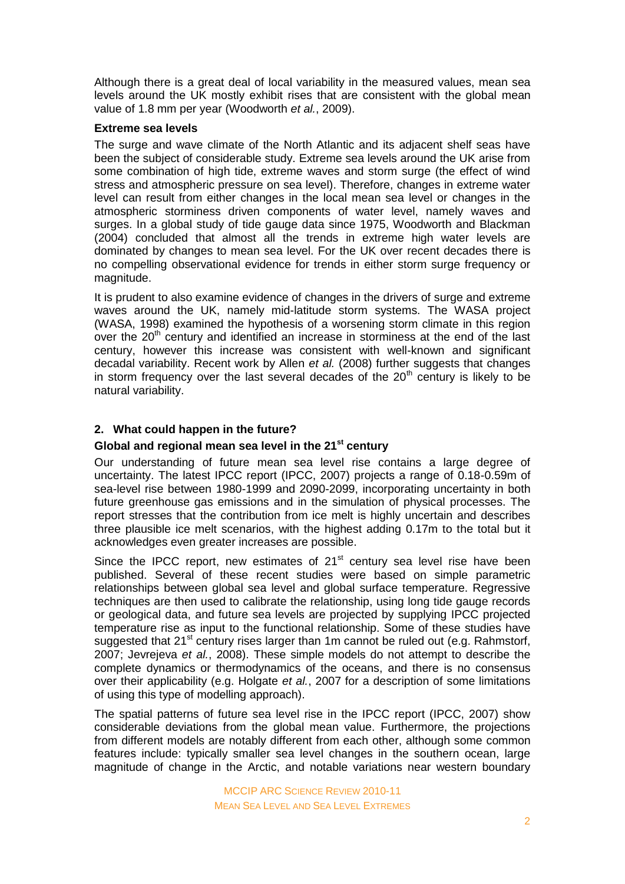Although there is a great deal of local variability in the measured values, mean sea levels around the UK mostly exhibit rises that are consistent with the global mean value of 1.8 mm per year (Woodworth *et al.*, 2009).

### **Extreme sea levels**

The surge and wave climate of the North Atlantic and its adjacent shelf seas have been the subject of considerable study. Extreme sea levels around the UK arise from some combination of high tide, extreme waves and storm surge (the effect of wind stress and atmospheric pressure on sea level). Therefore, changes in extreme water level can result from either changes in the local mean sea level or changes in the atmospheric storminess driven components of water level, namely waves and surges. In a global study of tide gauge data since 1975, Woodworth and Blackman (2004) concluded that almost all the trends in extreme high water levels are dominated by changes to mean sea level. For the UK over recent decades there is no compelling observational evidence for trends in either storm surge frequency or magnitude.

It is prudent to also examine evidence of changes in the drivers of surge and extreme waves around the UK, namely mid-latitude storm systems. The WASA project (WASA, 1998) examined the hypothesis of a worsening storm climate in this region over the  $20<sup>th</sup>$  century and identified an increase in storminess at the end of the last century, however this increase was consistent with well-known and significant decadal variability. Recent work by Allen *et al.* (2008) further suggests that changes in storm frequency over the last several decades of the  $20<sup>th</sup>$  century is likely to be natural variability.

# **2. What could happen in the future?**

### **Global and regional mean sea level in the 21st century**

Our understanding of future mean sea level rise contains a large degree of uncertainty. The latest IPCC report (IPCC, 2007) projects a range of 0.18-0.59m of sea-level rise between 1980-1999 and 2090-2099, incorporating uncertainty in both future greenhouse gas emissions and in the simulation of physical processes. The report stresses that the contribution from ice melt is highly uncertain and describes three plausible ice melt scenarios, with the highest adding 0.17m to the total but it acknowledges even greater increases are possible.

Since the IPCC report, new estimates of  $21<sup>st</sup>$  century sea level rise have been published. Several of these recent studies were based on simple parametric relationships between global sea level and global surface temperature. Regressive techniques are then used to calibrate the relationship, using long tide gauge records or geological data, and future sea levels are projected by supplying IPCC projected temperature rise as input to the functional relationship. Some of these studies have suggested that  $21^{st}$  century rises larger than 1m cannot be ruled out (e.g. Rahmstorf, 2007; Jevrejeva *et al.*, 2008). These simple models do not attempt to describe the complete dynamics or thermodynamics of the oceans, and there is no consensus over their applicability (e.g. Holgate *et al.*, 2007 for a description of some limitations of using this type of modelling approach).

The spatial patterns of future sea level rise in the IPCC report (IPCC, 2007) show considerable deviations from the global mean value. Furthermore, the projections from different models are notably different from each other, although some common features include: typically smaller sea level changes in the southern ocean, large magnitude of change in the Arctic, and notable variations near western boundary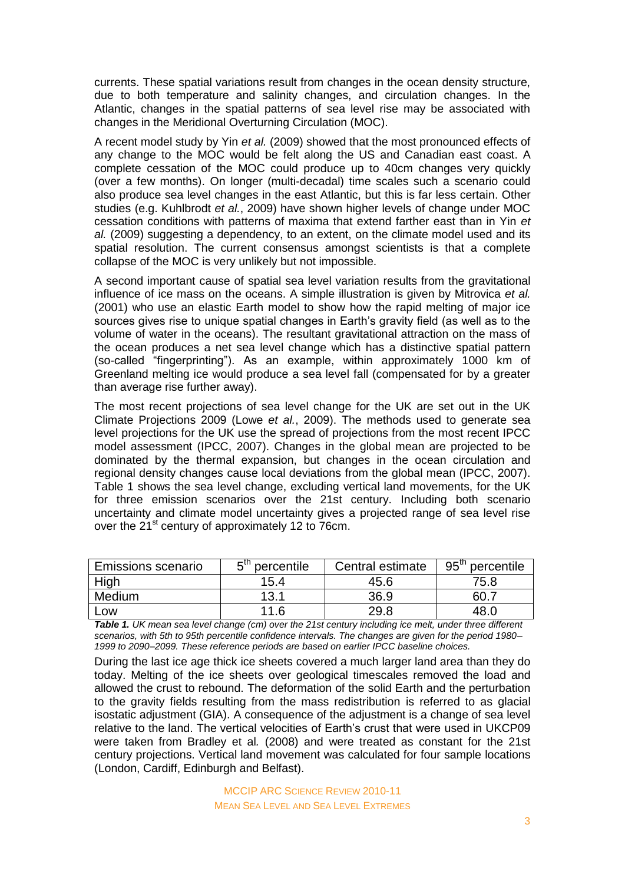currents. These spatial variations result from changes in the ocean density structure, due to both temperature and salinity changes, and circulation changes. In the Atlantic, changes in the spatial patterns of sea level rise may be associated with changes in the Meridional Overturning Circulation (MOC).

A recent model study by Yin *et al.* (2009) showed that the most pronounced effects of any change to the MOC would be felt along the US and Canadian east coast. A complete cessation of the MOC could produce up to 40cm changes very quickly (over a few months). On longer (multi-decadal) time scales such a scenario could also produce sea level changes in the east Atlantic, but this is far less certain. Other studies (e.g. Kuhlbrodt *et al.*, 2009) have shown higher levels of change under MOC cessation conditions with patterns of maxima that extend farther east than in Yin *et al.* (2009) suggesting a dependency, to an extent, on the climate model used and its spatial resolution. The current consensus amongst scientists is that a complete collapse of the MOC is very unlikely but not impossible.

A second important cause of spatial sea level variation results from the gravitational influence of ice mass on the oceans. A simple illustration is given by Mitrovica *et al.* (2001) who use an elastic Earth model to show how the rapid melting of major ice sources gives rise to unique spatial changes in Earth"s gravity field (as well as to the volume of water in the oceans). The resultant gravitational attraction on the mass of the ocean produces a net sea level change which has a distinctive spatial pattern (so-called "fingerprinting"). As an example, within approximately 1000 km of Greenland melting ice would produce a sea level fall (compensated for by a greater than average rise further away).

The most recent projections of sea level change for the UK are set out in the UK Climate Projections 2009 (Lowe *et al.*, 2009). The methods used to generate sea level projections for the UK use the spread of projections from the most recent IPCC model assessment (IPCC, 2007). Changes in the global mean are projected to be dominated by the thermal expansion, but changes in the ocean circulation and regional density changes cause local deviations from the global mean (IPCC, 2007). Table 1 shows the sea level change, excluding vertical land movements, for the UK for three emission scenarios over the 21st century. Including both scenario uncertainty and climate model uncertainty gives a projected range of sea level rise over the 21<sup>st</sup> century of approximately 12 to 76cm.

| <b>Emissions scenario</b> | 5 <sup>th</sup> percentile | Central estimate | 95 <sup>th</sup> percentile |
|---------------------------|----------------------------|------------------|-----------------------------|
| High                      | 15.4                       | 45.6             | 75.8                        |
| Medium                    | 13.1                       | 36.9             | 60.7                        |
| Low                       | 11.6                       | 29.8             | 48.0                        |

*Table 1. UK mean sea level change (cm) over the 21st century including ice melt, under three different scenarios, with 5th to 95th percentile confidence intervals. The changes are given for the period 1980– 1999 to 2090–2099. These reference periods are based on earlier IPCC baseline choices.*

During the last ice age thick ice sheets covered a much larger land area than they do today. Melting of the ice sheets over geological timescales removed the load and allowed the crust to rebound. The deformation of the solid Earth and the perturbation to the gravity fields resulting from the mass redistribution is referred to as glacial isostatic adjustment (GIA). A consequence of the adjustment is a change of sea level relative to the land. The vertical velocities of Earth's crust that were used in UKCP09 were taken from Bradley et al*.* (2008) and were treated as constant for the 21st century projections. Vertical land movement was calculated for four sample locations (London, Cardiff, Edinburgh and Belfast).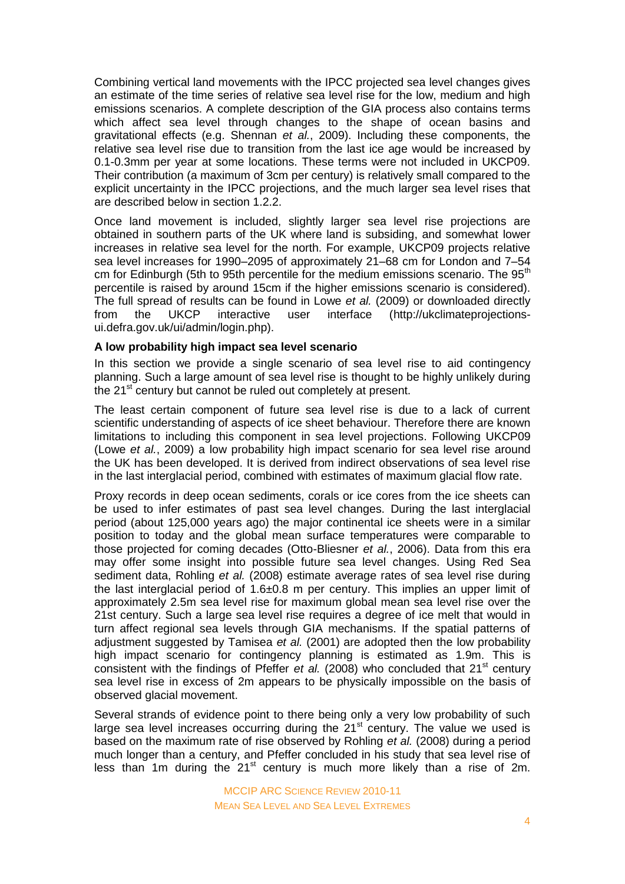Combining vertical land movements with the IPCC projected sea level changes gives an estimate of the time series of relative sea level rise for the low, medium and high emissions scenarios. A complete description of the GIA process also contains terms which affect sea level through changes to the shape of ocean basins and gravitational effects (e.g. Shennan *et al.*, 2009). Including these components, the relative sea level rise due to transition from the last ice age would be increased by 0.1-0.3mm per year at some locations. These terms were not included in UKCP09. Their contribution (a maximum of 3cm per century) is relatively small compared to the explicit uncertainty in the IPCC projections, and the much larger sea level rises that are described below in section 1.2.2.

Once land movement is included, slightly larger sea level rise projections are obtained in southern parts of the UK where land is subsiding, and somewhat lower increases in relative sea level for the north. For example, UKCP09 projects relative sea level increases for 1990–2095 of approximately 21–68 cm for London and 7–54 cm for Edinburgh (5th to 95th percentile for the medium emissions scenario. The  $95<sup>th</sup>$ percentile is raised by around 15cm if the higher emissions scenario is considered). The full spread of results can be found in Lowe *et al.* (2009) or downloaded directly from the UKCP interactive user interface (http://ukclimateprojectionsui.defra.gov.uk/ui/admin/login.php).

### **A low probability high impact sea level scenario**

In this section we provide a single scenario of sea level rise to aid contingency planning. Such a large amount of sea level rise is thought to be highly unlikely during the 21<sup>st</sup> century but cannot be ruled out completely at present.

The least certain component of future sea level rise is due to a lack of current scientific understanding of aspects of ice sheet behaviour. Therefore there are known limitations to including this component in sea level projections. Following UKCP09 (Lowe *et al.*, 2009) a low probability high impact scenario for sea level rise around the UK has been developed. It is derived from indirect observations of sea level rise in the last interglacial period, combined with estimates of maximum glacial flow rate.

Proxy records in deep ocean sediments, corals or ice cores from the ice sheets can be used to infer estimates of past sea level changes. During the last interglacial period (about 125,000 years ago) the major continental ice sheets were in a similar position to today and the global mean surface temperatures were comparable to those projected for coming decades (Otto-Bliesner *et al.*, 2006). Data from this era may offer some insight into possible future sea level changes. Using Red Sea sediment data, Rohling *et al.* (2008) estimate average rates of sea level rise during the last interglacial period of  $1.6\pm0.8$  m per century. This implies an upper limit of approximately 2.5m sea level rise for maximum global mean sea level rise over the 21st century. Such a large sea level rise requires a degree of ice melt that would in turn affect regional sea levels through GIA mechanisms. If the spatial patterns of adjustment suggested by Tamisea *et al.* (2001) are adopted then the low probability high impact scenario for contingency planning is estimated as 1.9m. This is consistent with the findings of Pfeffer *et al.* (2008) who concluded that 21<sup>st</sup> century sea level rise in excess of 2m appears to be physically impossible on the basis of observed glacial movement.

Several strands of evidence point to there being only a very low probability of such large sea level increases occurring during the  $21<sup>st</sup>$  century. The value we used is based on the maximum rate of rise observed by Rohling *et al.* (2008) during a period much longer than a century, and Pfeffer concluded in his study that sea level rise of less than 1m during the  $21^{st}$  century is much more likely than a rise of 2m.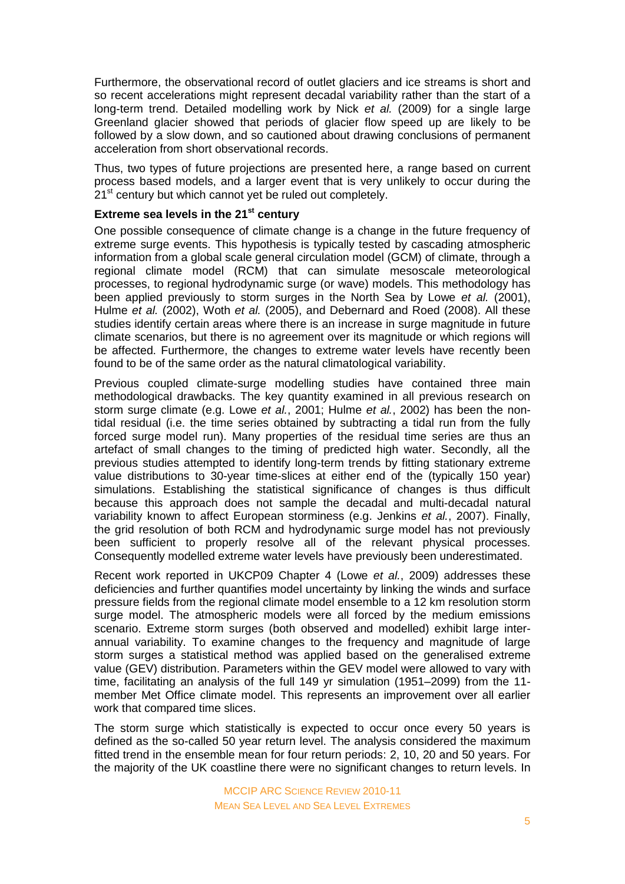Furthermore, the observational record of outlet glaciers and ice streams is short and so recent accelerations might represent decadal variability rather than the start of a long-term trend. Detailed modelling work by Nick *et al.* (2009) for a single large Greenland glacier showed that periods of glacier flow speed up are likely to be followed by a slow down, and so cautioned about drawing conclusions of permanent acceleration from short observational records.

Thus, two types of future projections are presented here, a range based on current process based models, and a larger event that is very unlikely to occur during the 21<sup>st</sup> century but which cannot yet be ruled out completely.

### **Extreme sea levels in the 21st century**

One possible consequence of climate change is a change in the future frequency of extreme surge events. This hypothesis is typically tested by cascading atmospheric information from a global scale general circulation model (GCM) of climate, through a regional climate model (RCM) that can simulate mesoscale meteorological processes, to regional hydrodynamic surge (or wave) models. This methodology has been applied previously to storm surges in the North Sea by Lowe *et al.* (2001), Hulme *et al.* (2002), Woth *et al.* (2005), and Debernard and Roed (2008). All these studies identify certain areas where there is an increase in surge magnitude in future climate scenarios, but there is no agreement over its magnitude or which regions will be affected. Furthermore, the changes to extreme water levels have recently been found to be of the same order as the natural climatological variability.

Previous coupled climate-surge modelling studies have contained three main methodological drawbacks. The key quantity examined in all previous research on storm surge climate (e.g. Lowe *et al.*, 2001; Hulme *et al.*, 2002) has been the nontidal residual (i.e. the time series obtained by subtracting a tidal run from the fully forced surge model run). Many properties of the residual time series are thus an artefact of small changes to the timing of predicted high water. Secondly, all the previous studies attempted to identify long-term trends by fitting stationary extreme value distributions to 30-year time-slices at either end of the (typically 150 year) simulations. Establishing the statistical significance of changes is thus difficult because this approach does not sample the decadal and multi-decadal natural variability known to affect European storminess (e.g. Jenkins *et al.*, 2007). Finally, the grid resolution of both RCM and hydrodynamic surge model has not previously been sufficient to properly resolve all of the relevant physical processes. Consequently modelled extreme water levels have previously been underestimated.

Recent work reported in UKCP09 Chapter 4 (Lowe *et al.*, 2009) addresses these deficiencies and further quantifies model uncertainty by linking the winds and surface pressure fields from the regional climate model ensemble to a 12 km resolution storm surge model. The atmospheric models were all forced by the medium emissions scenario. Extreme storm surges (both observed and modelled) exhibit large interannual variability. To examine changes to the frequency and magnitude of large storm surges a statistical method was applied based on the generalised extreme value (GEV) distribution. Parameters within the GEV model were allowed to vary with time, facilitating an analysis of the full 149 yr simulation (1951–2099) from the 11 member Met Office climate model. This represents an improvement over all earlier work that compared time slices.

The storm surge which statistically is expected to occur once every 50 years is defined as the so-called 50 year return level. The analysis considered the maximum fitted trend in the ensemble mean for four return periods: 2, 10, 20 and 50 years. For the majority of the UK coastline there were no significant changes to return levels. In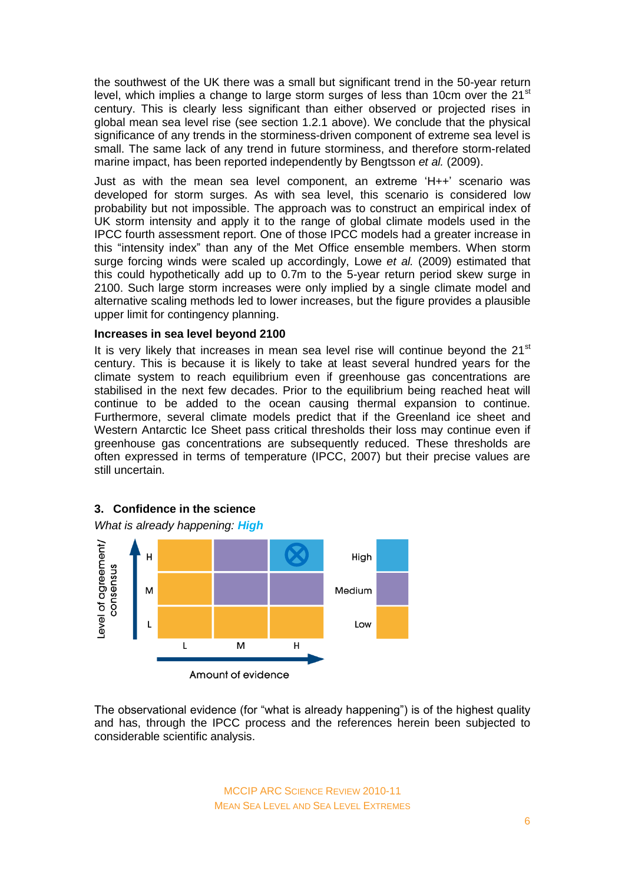the southwest of the UK there was a small but significant trend in the 50-year return level, which implies a change to large storm surges of less than 10cm over the  $21<sup>st</sup>$ century. This is clearly less significant than either observed or projected rises in global mean sea level rise (see section 1.2.1 above). We conclude that the physical significance of any trends in the storminess-driven component of extreme sea level is small. The same lack of any trend in future storminess, and therefore storm-related marine impact, has been reported independently by Bengtsson *et al.* (2009).

Just as with the mean sea level component, an extreme "H++" scenario was developed for storm surges. As with sea level, this scenario is considered low probability but not impossible. The approach was to construct an empirical index of UK storm intensity and apply it to the range of global climate models used in the IPCC fourth assessment report. One of those IPCC models had a greater increase in this "intensity index" than any of the Met Office ensemble members. When storm surge forcing winds were scaled up accordingly, Lowe *et al.* (2009) estimated that this could hypothetically add up to 0.7m to the 5-year return period skew surge in 2100. Such large storm increases were only implied by a single climate model and alternative scaling methods led to lower increases, but the figure provides a plausible upper limit for contingency planning.

#### **Increases in sea level beyond 2100**

It is very likely that increases in mean sea level rise will continue beyond the  $21<sup>st</sup>$ century. This is because it is likely to take at least several hundred years for the climate system to reach equilibrium even if greenhouse gas concentrations are stabilised in the next few decades. Prior to the equilibrium being reached heat will continue to be added to the ocean causing thermal expansion to continue. Furthermore, several climate models predict that if the Greenland ice sheet and Western Antarctic Ice Sheet pass critical thresholds their loss may continue even if greenhouse gas concentrations are subsequently reduced. These thresholds are often expressed in terms of temperature (IPCC, 2007) but their precise values are still uncertain.



The observational evidence (for "what is already happening") is of the highest quality and has, through the IPCC process and the references herein been subjected to considerable scientific analysis.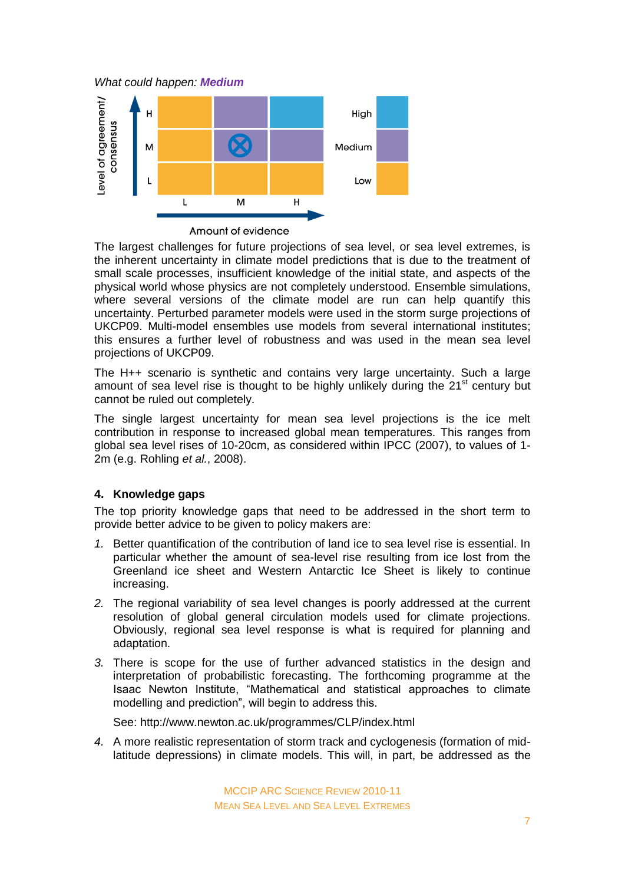*What could happen: Medium*



Amount of evidence

The largest challenges for future projections of sea level, or sea level extremes, is the inherent uncertainty in climate model predictions that is due to the treatment of small scale processes, insufficient knowledge of the initial state, and aspects of the physical world whose physics are not completely understood. Ensemble simulations, where several versions of the climate model are run can help quantify this uncertainty. Perturbed parameter models were used in the storm surge projections of UKCP09. Multi-model ensembles use models from several international institutes; this ensures a further level of robustness and was used in the mean sea level projections of UKCP09.

The H++ scenario is synthetic and contains very large uncertainty. Such a large amount of sea level rise is thought to be highly unlikely during the 21<sup>st</sup> century but cannot be ruled out completely.

The single largest uncertainty for mean sea level projections is the ice melt contribution in response to increased global mean temperatures. This ranges from global sea level rises of 10-20cm, as considered within IPCC (2007), to values of 1- 2m (e.g. Rohling *et al.*, 2008).

### **4. Knowledge gaps**

The top priority knowledge gaps that need to be addressed in the short term to provide better advice to be given to policy makers are:

- *1.* Better quantification of the contribution of land ice to sea level rise is essential. In particular whether the amount of sea-level rise resulting from ice lost from the Greenland ice sheet and Western Antarctic Ice Sheet is likely to continue increasing.
- *2.* The regional variability of sea level changes is poorly addressed at the current resolution of global general circulation models used for climate projections. Obviously, regional sea level response is what is required for planning and adaptation.
- *3.* There is scope for the use of further advanced statistics in the design and interpretation of probabilistic forecasting. The forthcoming programme at the Isaac Newton Institute, "Mathematical and statistical approaches to climate modelling and prediction", will begin to address this.

See: http://www.newton.ac.uk/programmes/CLP/index.html

*4.* A more realistic representation of storm track and cyclogenesis (formation of midlatitude depressions) in climate models. This will, in part, be addressed as the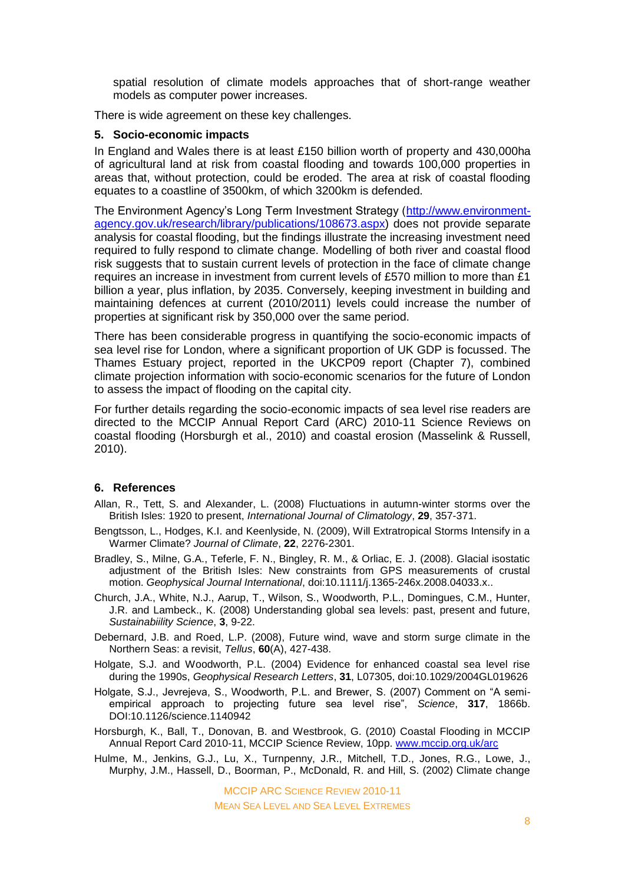spatial resolution of climate models approaches that of short-range weather models as computer power increases.

There is wide agreement on these key challenges.

### **5. Socio-economic impacts**

In England and Wales there is at least £150 billion worth of property and 430,000ha of agricultural land at risk from coastal flooding and towards 100,000 properties in areas that, without protection, could be eroded. The area at risk of coastal flooding equates to a coastline of 3500km, of which 3200km is defended.

The Environment Agency"s Long Term Investment Strategy [\(http://www.environment](http://www.environment-agency.gov.uk/research/library/publications/108673.aspx)[agency.gov.uk/research/library/publications/108673.aspx\)](http://www.environment-agency.gov.uk/research/library/publications/108673.aspx) does not provide separate analysis for coastal flooding, but the findings illustrate the increasing investment need required to fully respond to climate change. Modelling of both river and coastal flood risk suggests that to sustain current levels of protection in the face of climate change requires an increase in investment from current levels of £570 million to more than £1 billion a year, plus inflation, by 2035. Conversely, keeping investment in building and maintaining defences at current (2010/2011) levels could increase the number of properties at significant risk by 350,000 over the same period.

There has been considerable progress in quantifying the socio-economic impacts of sea level rise for London, where a significant proportion of UK GDP is focussed. The Thames Estuary project, reported in the UKCP09 report (Chapter 7), combined climate projection information with socio-economic scenarios for the future of London to assess the impact of flooding on the capital city.

For further details regarding the socio-economic impacts of sea level rise readers are directed to the MCCIP Annual Report Card (ARC) 2010-11 Science Reviews on coastal flooding (Horsburgh et al., 2010) and coastal erosion (Masselink & Russell, 2010).

### **6. References**

- Allan, R., Tett, S. and Alexander, L. (2008) Fluctuations in autumn-winter storms over the British Isles: 1920 to present, *International Journal of Climatology*, **29**, 357-371.
- Bengtsson, L., Hodges, K.I. and Keenlyside, N. (2009), Will Extratropical Storms Intensify in a Warmer Climate? *Journal of Climate*, **22**, 2276-2301.
- Bradley, S., Milne, G.A., Teferle, F. N., Bingley, R. M., & Orliac, E. J. (2008). Glacial isostatic adjustment of the British Isles: New constraints from GPS measurements of crustal motion. *Geophysical Journal International*, doi:10.1111/j.1365-246x.2008.04033.x..
- Church, J.A., White, N.J., Aarup, T., Wilson, S., Woodworth, P.L., Domingues, C.M., Hunter, J.R. and Lambeck., K. (2008) Understanding global sea levels: past, present and future, *Sustainabiility Science*, **3**, 9-22.
- Debernard, J.B. and Roed, L.P. (2008), Future wind, wave and storm surge climate in the Northern Seas: a revisit, *Tellus*, **60**(A), 427-438.
- Holgate, S.J. and Woodworth, P.L. (2004) Evidence for enhanced coastal sea level rise during the 1990s, *Geophysical Research Letters*, **31**, L07305, doi:10.1029/2004GL019626
- Holgate, S.J., Jevrejeva, S., Woodworth, P.L. and Brewer, S. (2007) Comment on "A semiempirical approach to projecting future sea level rise", *Science*, **317**, 1866b. DOI:10.1126/science.1140942
- Horsburgh, K., Ball, T., Donovan, B. and Westbrook, G. (2010) Coastal Flooding in MCCIP Annual Report Card 2010-11, MCCIP Science Review, 10pp. [www.mccip.org.uk/arc](http://www.mccip.org.uk/arc)
- Hulme, M., Jenkins, G.J., Lu, X., Turnpenny, J.R., Mitchell, T.D., Jones, R.G., Lowe, J., Murphy, J.M., Hassell, D., Boorman, P., McDonald, R. and Hill, S. (2002) Climate change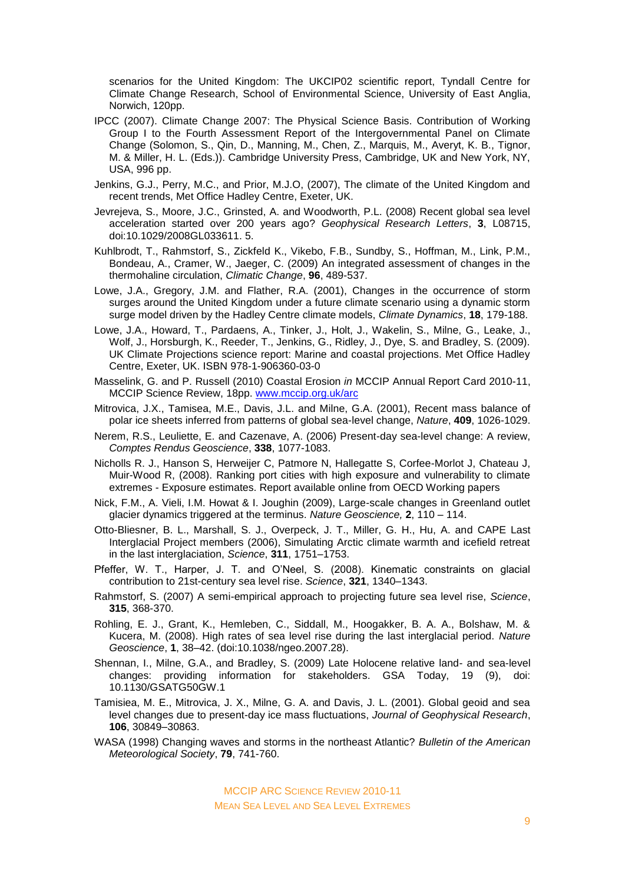scenarios for the United Kingdom: The UKCIP02 scientific report, Tyndall Centre for Climate Change Research, School of Environmental Science, University of East Anglia, Norwich, 120pp.

- IPCC (2007). Climate Change 2007: The Physical Science Basis. Contribution of Working Group I to the Fourth Assessment Report of the Intergovernmental Panel on Climate Change (Solomon, S., Qin, D., Manning, M., Chen, Z., Marquis, M., Averyt, K. B., Tignor, M. & Miller, H. L. (Eds.)). Cambridge University Press, Cambridge, UK and New York, NY, USA, 996 pp.
- Jenkins, G.J., Perry, M.C., and Prior, M.J.O, (2007), The climate of the United Kingdom and recent trends, Met Office Hadley Centre, Exeter, UK.
- Jevrejeva, S., Moore, J.C., Grinsted, A. and Woodworth, P.L. (2008) Recent global sea level acceleration started over 200 years ago? *Geophysical Research Letters*, **3**, L08715, doi:10.1029/2008GL033611. 5.
- Kuhlbrodt, T., Rahmstorf, S., Zickfeld K., Vikebo, F.B., Sundby, S., Hoffman, M., Link, P.M., Bondeau, A., Cramer, W., Jaeger, C. (2009) An integrated assessment of changes in the thermohaline circulation, *Climatic Change*, **96**, 489-537.
- Lowe, J.A., Gregory, J.M. and Flather, R.A. (2001), Changes in the occurrence of storm surges around the United Kingdom under a future climate scenario using a dynamic storm surge model driven by the Hadley Centre climate models, *Climate Dynamics*, **18**, 179-188.
- Lowe, J.A., Howard, T., Pardaens, A., Tinker, J., Holt, J., Wakelin, S., Milne, G., Leake, J., Wolf, J., Horsburgh, K., Reeder, T., Jenkins, G., Ridley, J., Dye, S. and Bradley, S. (2009). UK Climate Projections science report: Marine and coastal projections. Met Office Hadley Centre, Exeter, UK. ISBN 978-1-906360-03-0
- Masselink, G. and P. Russell (2010) Coastal Erosion *in* MCCIP Annual Report Card 2010-11, MCCIP Science Review, 18pp. [www.mccip.org.uk/arc](http://www.mccip.org.uk/arc)
- Mitrovica, J.X., Tamisea, M.E., Davis, J.L. and Milne, G.A. (2001), Recent mass balance of polar ice sheets inferred from patterns of global sea-level change, *Nature*, **409**, 1026-1029.
- Nerem, R.S., Leuliette, E. and Cazenave, A. (2006) Present-day sea-level change: A review, *Comptes Rendus Geoscience*, **338**, 1077-1083.
- Nicholls R. J., Hanson S, Herweijer C, Patmore N, Hallegatte S, Corfee-Morlot J, Chateau J, Muir-Wood R, (2008). Ranking port cities with high exposure and vulnerability to climate extremes - Exposure estimates. Report available online from OECD Working papers
- Nick, F.M., A. Vieli, I.M. Howat & I. Joughin (2009), Large-scale changes in Greenland outlet glacier dynamics triggered at the terminus. *Nature Geoscience,* **2**, 110 – 114.
- Otto-Bliesner, B. L., Marshall, S. J., Overpeck, J. T., Miller, G. H., Hu, A. and CAPE Last Interglacial Project members (2006), Simulating Arctic climate warmth and icefield retreat in the last interglaciation, *Science*, **311**, 1751–1753.
- Pfeffer, W. T., Harper, J. T. and O"Neel, S. (2008). Kinematic constraints on glacial contribution to 21st-century sea level rise. *Science*, **321**, 1340–1343.
- Rahmstorf, S. (2007) A semi-empirical approach to projecting future sea level rise, *Science*, **315**, 368-370.
- Rohling, E. J., Grant, K., Hemleben, C., Siddall, M., Hoogakker, B. A. A., Bolshaw, M. & Kucera, M. (2008). High rates of sea level rise during the last interglacial period. *Nature Geoscience*, **1**, 38–42. (doi:10.1038/ngeo.2007.28).
- Shennan, I., Milne, G.A., and Bradley, S. (2009) Late Holocene relative land- and sea-level changes: providing information for stakeholders. GSA Today, 19 (9), doi: 10.1130/GSATG50GW.1
- Tamisiea, M. E., Mitrovica, J. X., Milne, G. A. and Davis, J. L. (2001). Global geoid and sea level changes due to present-day ice mass fluctuations, *Journal of Geophysical Research*, **106**, 30849–30863.
- WASA (1998) Changing waves and storms in the northeast Atlantic? *Bulletin of the American Meteorological Society*, **79**, 741-760.